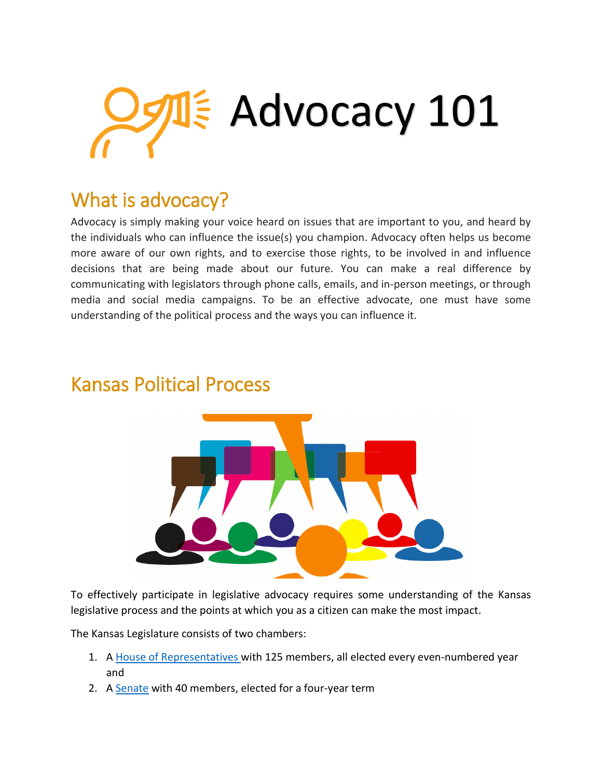

## What is advocacy?

Advocacy is simply making your voice heard on issues that are important to you, and heard by the individuals who can influence the issue(s) you champion. Advocacy often helps us become more aware of our own rights, and to exercise those rights, to be involved in and influence decisions that are being made about our future. You can make a real difference by communicating with legislators through phone calls, emails, and in-person meetings, or through media and social media campaigns. To be an effective advocate, one must have some understanding of the political process and the ways you can influence it.



### Kansas Political Process

To effectively participate in legislative advocacy requires some understanding of the Kansas legislative process and the points at which you as a citizen can make the most impact.

The Kansas Legislature consists of two chambers:

- 1. A [House of Representatives](http://kslegislature.org/li/b2019_20/chamber/house/) with 125 members, all elected every even-numbered year and
- 2. A [Senate](http://kslegislature.org/li/b2019_20/chamber/senate/) with 40 members, elected for a four-year term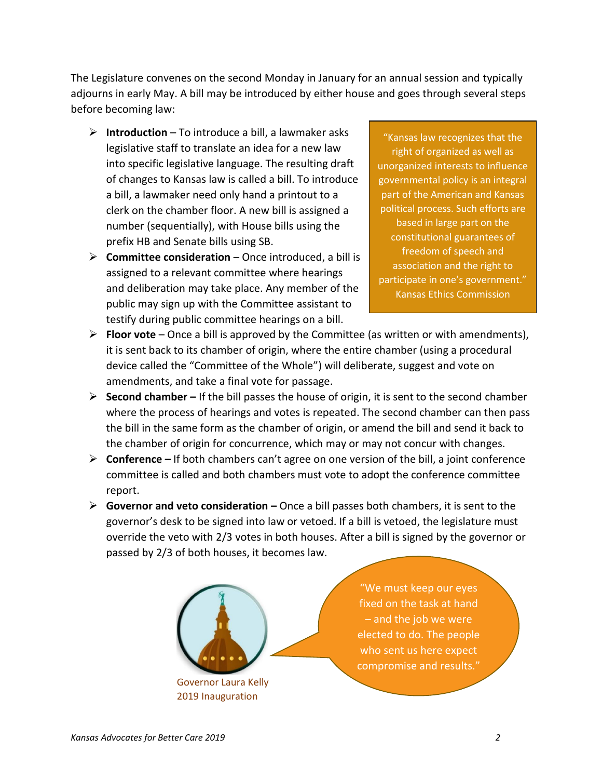The Legislature convenes on the second Monday in January for an annual session and typically adjourns in early May. A bill may be introduced by either house and goes through several steps before becoming law:

- **Introduction** To introduce a bill, a lawmaker asks legislative staff to translate an idea for a new law into specific legislative language. The resulting draft of changes to Kansas law is called a bill. To introduce a bill, a lawmaker need only hand a printout to a clerk on the chamber floor. A new bill is assigned a number (sequentially), with House bills using the prefix HB and Senate bills using SB.
- **Committee consideration** Once introduced, a bill is assigned to a relevant committee where hearings and deliberation may take place. Any member of the public may sign up with the Committee assistant to testify during public committee hearings on a bill.

"Kansas law recognizes that the right of organized as well as unorganized interests to influence governmental policy is an integral part of the American and Kansas political process. Such efforts are based in large part on the constitutional guarantees of freedom of speech and association and the right to participate in one's government." Kansas Ethics Commission

- **Floor vote** Once a bill is approved by the Committee (as written or with amendments), it is sent back to its chamber of origin, where the entire chamber (using a procedural device called the "Committee of the Whole") will deliberate, suggest and vote on amendments, and take a final vote for passage.
- **Second chamber –** If the bill passes the house of origin, it is sent to the second chamber where the process of hearings and votes is repeated. The second chamber can then pass the bill in the same form as the chamber of origin, or amend the bill and send it back to the chamber of origin for concurrence, which may or may not concur with changes.
- **Conference –** If both chambers can't agree on one version of the bill, a joint conference committee is called and both chambers must vote to adopt the conference committee report.
- **Governor and veto consideration –** Once a bill passes both chambers, it is sent to the governor's desk to be signed into law or vetoed. If a bill is vetoed, the legislature must override the veto with 2/3 votes in both houses. After a bill is signed by the governor or passed by 2/3 of both houses, it becomes law.



"We must keep our eyes fixed on the task at hand – and the job we were elected to do. The people who sent us here expect compromise and results."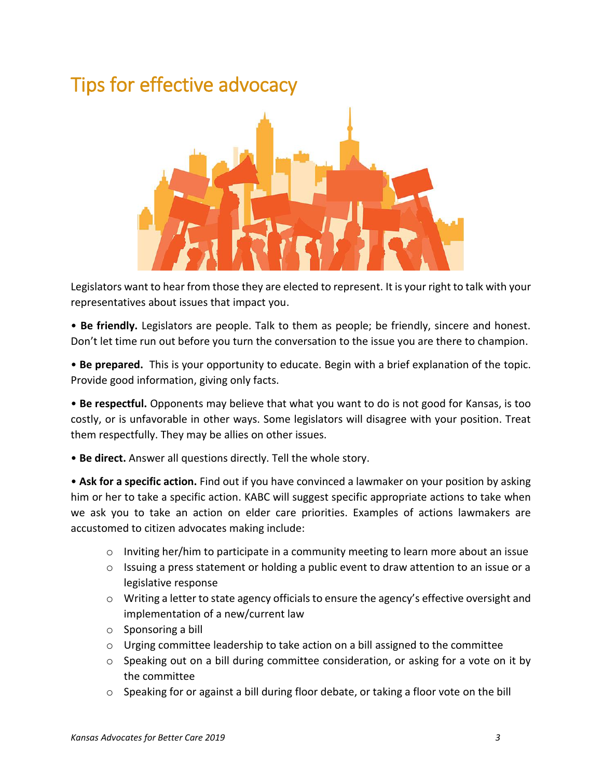## Tips for effective advocacy



Legislators want to hear from those they are elected to represent. It is your right to talk with your representatives about issues that impact you.

• **Be friendly.** Legislators are people. Talk to them as people; be friendly, sincere and honest. Don't let time run out before you turn the conversation to the issue you are there to champion.

• **Be prepared.** This is your opportunity to educate. Begin with a brief explanation of the topic. Provide good information, giving only facts.

• **Be respectful.** Opponents may believe that what you want to do is not good for Kansas, is too costly, or is unfavorable in other ways. Some legislators will disagree with your position. Treat them respectfully. They may be allies on other issues.

• **Be direct.** Answer all questions directly. Tell the whole story.

• **Ask for a specific action.** Find out if you have convinced a lawmaker on your position by asking him or her to take a specific action. KABC will suggest specific appropriate actions to take when we ask you to take an action on elder care priorities. Examples of actions lawmakers are accustomed to citizen advocates making include:

- o Inviting her/him to participate in a community meeting to learn more about an issue
- o Issuing a press statement or holding a public event to draw attention to an issue or a legislative response
- o Writing a letter to state agency officials to ensure the agency's effective oversight and implementation of a new/current law
- o Sponsoring a bill
- $\circ$  Urging committee leadership to take action on a bill assigned to the committee
- o Speaking out on a bill during committee consideration, or asking for a vote on it by the committee
- o Speaking for or against a bill during floor debate, or taking a floor vote on the bill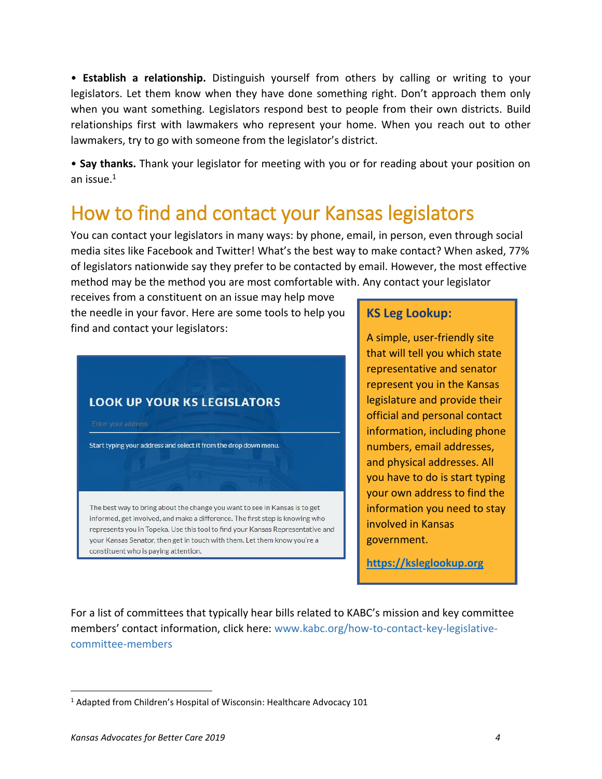• **Establish a relationship.** Distinguish yourself from others by calling or writing to your legislators. Let them know when they have done something right. Don't approach them only when you want something. Legislators respond best to people from their own districts. Build relationships first with lawmakers who represent your home. When you reach out to other lawmakers, try to go with someone from the legislator's district.

• **Say thanks.** Thank your legislator for meeting with you or for reading about your position on an issue.<sup>1</sup>

# How to find and contact your Kansas legislators

You can contact your legislators in many ways: by phone, email, in person, even through social media sites like Facebook and Twitter! What's the best way to make contact? When asked, 77% of legislators nationwide say they prefer to be contacted by email. However, the most effective method may be the method you are most comfortable with. Any contact your legislator

receives from a constituent on an issue may help move the needle in your favor. Here are some tools to help you find and contact your legislators:

### **LOOK UP YOUR KS LEGISLATORS**

Start typing your address and select it from the drop down menu.

The best way to bring about the change you want to see in Kansas is to get informed, get involved, and make a difference. The first step is knowing who represents you in Topeka. Use this tool to find your Kansas Representative and your Kansas Senator, then get in touch with them. Let them know you're a constituent who is paying attention.

#### **KS Leg Lookup:**

A simple, user-friendly site that will tell you which state representative and senator represent you in the Kansas legislature and provide their official and personal contact information, including phone numbers, email addresses, and physical addresses. All you have to do is start typing your own address to find the information you need to stay involved in Kansas government.

**[https://ksleglookup.org](https://ksleglookup.org/)**

For a list of committees that typically hear bills related to KABC's mission and key committee members' contact information, click here: www.kabc.org/how-to-contact-key-legislativecommittee-members

 $\overline{\phantom{a}}$ 

<sup>&</sup>lt;sup>1</sup> Adapted from Children's Hospital of Wisconsin: Healthcare Advocacy 101